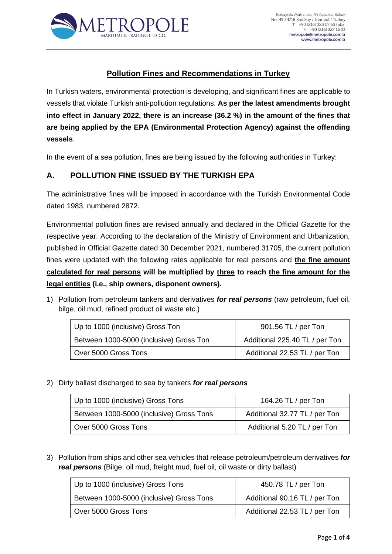

# **Pollution Fines and Recommendations in Turkey**

In Turkish waters, environmental protection is developing, and significant fines are applicable to vessels that violate Turkish anti-pollution regulations. **As per the latest amendments brought into effect in January 2022, there is an increase (36.2 %) in the amount of the fines that are being applied by the EPA (Environmental Protection Agency) against the offending vessels**.

In the event of a sea pollution, fines are being issued by the following authorities in Turkey:

### **A. POLLUTION FINE ISSUED BY THE TURKISH EPA**

The administrative fines will be imposed in accordance with the Turkish Environmental Code dated 1983, numbered 2872.

Environmental pollution fines are revised annually and declared in the Official Gazette for the respective year. According to the declaration of the Ministry of Environment and Urbanization, published in Official Gazette dated 30 December 2021, numbered 31705, the current pollution fines were updated with the following rates applicable for real persons and **the fine amount calculated for real persons will be multiplied by three to reach the fine amount for the legal entities (i.e., ship owners, disponent owners).**

1) Pollution from petroleum tankers and derivatives *for real persons* (raw petroleum, fuel oil, bilge, oil mud, refined product oil waste etc.)

| Up to 1000 (inclusive) Gross Ton        | 901.56 TL / per Ton            |  |
|-----------------------------------------|--------------------------------|--|
| Between 1000-5000 (inclusive) Gross Ton | Additional 225.40 TL / per Ton |  |
| Over 5000 Gross Tons                    | Additional 22.53 TL / per Ton  |  |

### 2) Dirty ballast discharged to sea by tankers *for real persons*

| Up to 1000 (inclusive) Gross Tons        | 164.26 TL / per Ton           |  |
|------------------------------------------|-------------------------------|--|
| Between 1000-5000 (inclusive) Gross Tons | Additional 32.77 TL / per Ton |  |
| Over 5000 Gross Tons                     | Additional 5.20 TL / per Ton  |  |

3) Pollution from ships and other sea vehicles that release petroleum/petroleum derivatives *for real persons* (Bilge, oil mud, freight mud, fuel oil, oil waste or dirty ballast)

| Up to 1000 (inclusive) Gross Tons        | 450.78 TL / per Ton           |  |
|------------------------------------------|-------------------------------|--|
| Between 1000-5000 (inclusive) Gross Tons | Additional 90.16 TL / per Ton |  |
| Over 5000 Gross Tons                     | Additional 22.53 TL / per Ton |  |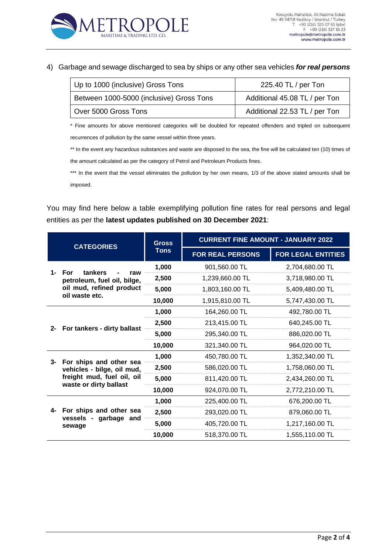

#### 4) Garbage and sewage discharged to sea by ships or any other sea vehicles *for real persons*

| Up to 1000 (inclusive) Gross Tons        | 225.40 TL / per Ton           |  |
|------------------------------------------|-------------------------------|--|
| Between 1000-5000 (inclusive) Gross Tons | Additional 45.08 TL / per Ton |  |
| Over 5000 Gross Tons                     | Additional 22.53 TL / per Ton |  |

\* Fine amounts for above mentioned categories will be doubled for repeated offenders and tripled on subsequent recurrences of pollution by the same vessel within three years.

\*\* In the event any hazardous substances and waste are disposed to the sea, the fine will be calculated ten (10) times of the amount calculated as per the category of Petrol and Petroleum Products fines.

\*\*\* In the event that the vessel eliminates the pollution by her own means, 1/3 of the above stated amounts shall be imposed.

You may find here below a table exemplifying pollution fine rates for real persons and legal entities as per the **latest updates published on 30 December 2021**:

| <b>CATEGORIES</b> | <b>Gross</b><br><b>Tons</b>                                                                                      | <b>CURRENT FINE AMOUNT - JANUARY 2022</b> |                           |                 |
|-------------------|------------------------------------------------------------------------------------------------------------------|-------------------------------------------|---------------------------|-----------------|
|                   |                                                                                                                  | <b>FOR REAL PERSONS</b>                   | <b>FOR LEGAL ENTITIES</b> |                 |
| 1-                | tankers<br>For<br>raw<br>petroleum, fuel oil, bilge,<br>oil mud, refined product<br>oil waste etc.               | 1,000                                     | 901,560.00 TL             | 2,704,680.00 TL |
|                   |                                                                                                                  | 2,500                                     | 1,239,660.00 TL           | 3,718,980.00 TL |
|                   |                                                                                                                  | 5,000                                     | 1,803,160.00 TL           | 5,409,480.00 TL |
|                   |                                                                                                                  | 10,000                                    | 1,915,810.00 TL           | 5,747,430.00 TL |
|                   |                                                                                                                  | 1,000                                     | 164,260.00 TL             | 492,780.00 TL   |
| $2 -$             | For tankers - dirty ballast                                                                                      | 2,500                                     | 213,415.00 TL             | 640,245.00 TL   |
|                   |                                                                                                                  | 5,000                                     | 295,340.00 TL             | 886,020.00 TL   |
|                   |                                                                                                                  | 10,000                                    | 321,340.00 TL             | 964,020.00 TL   |
|                   | 3- For ships and other sea<br>vehicles - bilge, oil mud,<br>freight mud, fuel oil, oil<br>waste or dirty ballast | 1,000                                     | 450,780.00 TL             | 1,352,340.00 TL |
|                   |                                                                                                                  | 2,500                                     | 586,020.00 TL             | 1,758,060.00 TL |
|                   |                                                                                                                  | 5,000                                     | 811,420.00 TL             | 2,434,260.00 TL |
|                   |                                                                                                                  | 10,000                                    | 924,070.00 TL             | 2,772,210.00 TL |
|                   | 4- For ships and other sea<br>vessels - garbage and<br>sewage                                                    | 1,000                                     | 225,400.00 TL             | 676,200.00 TL   |
|                   |                                                                                                                  | 2,500                                     | 293,020.00 TL             | 879,060.00 TL   |
|                   |                                                                                                                  | 5,000                                     | 405,720.00 TL             | 1,217,160.00 TL |
|                   | 10,000                                                                                                           | 518,370.00 TL                             | 1,555,110.00 TL           |                 |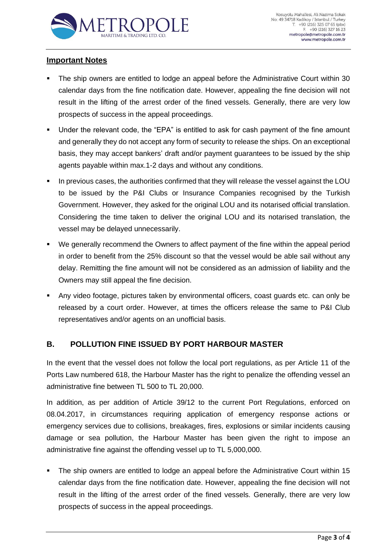

### **Important Notes**

- The ship owners are entitled to lodge an appeal before the Administrative Court within 30 calendar days from the fine notification date. However, appealing the fine decision will not result in the lifting of the arrest order of the fined vessels. Generally, there are very low prospects of success in the appeal proceedings.
- Under the relevant code, the "EPA" is entitled to ask for cash payment of the fine amount and generally they do not accept any form of security to release the ships. On an exceptional basis, they may accept bankers' draft and/or payment guarantees to be issued by the ship agents payable within max.1-2 days and without any conditions.
- In previous cases, the authorities confirmed that they will release the vessel against the LOU to be issued by the P&I Clubs or Insurance Companies recognised by the Turkish Government. However, they asked for the original LOU and its notarised official translation. Considering the time taken to deliver the original LOU and its notarised translation, the vessel may be delayed unnecessarily.
- We generally recommend the Owners to affect payment of the fine within the appeal period in order to benefit from the 25% discount so that the vessel would be able sail without any delay. Remitting the fine amount will not be considered as an admission of liability and the Owners may still appeal the fine decision.
- Any video footage, pictures taken by environmental officers, coast guards etc. can only be released by a court order. However, at times the officers release the same to P&I Club representatives and/or agents on an unofficial basis.

### **B. POLLUTION FINE ISSUED BY PORT HARBOUR MASTER**

In the event that the vessel does not follow the local port regulations, as per Article 11 of the Ports Law numbered 618, the Harbour Master has the right to penalize the offending vessel an administrative fine between TL 500 to TL 20,000.

In addition, as per addition of Article 39/12 to the current Port Regulations, enforced on 08.04.2017, in circumstances requiring application of emergency response actions or emergency services due to collisions, breakages, fires, explosions or similar incidents causing damage or sea pollution, the Harbour Master has been given the right to impose an administrative fine against the offending vessel up to TL 5,000,000.

The ship owners are entitled to lodge an appeal before the Administrative Court within 15 calendar days from the fine notification date. However, appealing the fine decision will not result in the lifting of the arrest order of the fined vessels. Generally, there are very low prospects of success in the appeal proceedings.